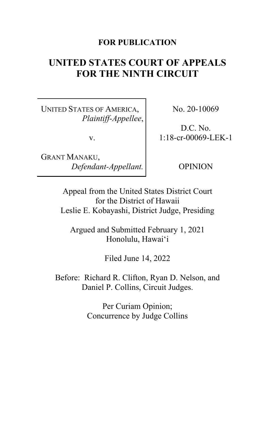## **FOR PUBLICATION**

# **UNITED STATES COURT OF APPEALS FOR THE NINTH CIRCUIT**

UNITED STATES OF AMERICA, *Plaintiff-Appellee*,

v.

GRANT MANAKU, *Defendant-Appellant.* No. 20-10069

D.C. No. 1:18-cr-00069-LEK-1

OPINION

Appeal from the United States District Court for the District of Hawaii Leslie E. Kobayashi, District Judge, Presiding

Argued and Submitted February 1, 2021 Honolulu, Hawai'i

Filed June 14, 2022

Before: Richard R. Clifton, Ryan D. Nelson, and Daniel P. Collins, Circuit Judges.

> Per Curiam Opinion; Concurrence by Judge Collins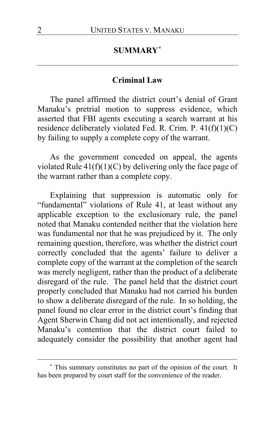## **SUMMARY[\\*](#page-1-0)**

### **Criminal Law**

The panel affirmed the district court's denial of Grant Manaku's pretrial motion to suppress evidence, which asserted that FBI agents executing a search warrant at his residence deliberately violated Fed. R. Crim. P. 41(f)(1)(C) by failing to supply a complete copy of the warrant.

As the government conceded on appeal, the agents violated Rule  $41(f)(1)(C)$  by delivering only the face page of the warrant rather than a complete copy.

Explaining that suppression is automatic only for "fundamental" violations of Rule 41, at least without any applicable exception to the exclusionary rule, the panel noted that Manaku contended neither that the violation here was fundamental nor that he was prejudiced by it. The only remaining question, therefore, was whether the district court correctly concluded that the agents' failure to deliver a complete copy of the warrant at the completion of the search was merely negligent, rather than the product of a deliberate disregard of the rule. The panel held that the district court properly concluded that Manaku had not carried his burden to show a deliberate disregard of the rule. In so holding, the panel found no clear error in the district court's finding that Agent Sherwin Chang did not act intentionally, and rejected Manaku's contention that the district court failed to adequately consider the possibility that another agent had

<span id="page-1-0"></span>**<sup>\*</sup>** This summary constitutes no part of the opinion of the court. It has been prepared by court staff for the convenience of the reader.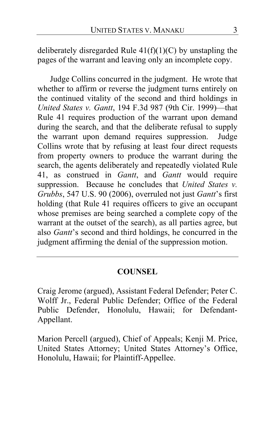deliberately disregarded Rule  $41(f)(1)(C)$  by unstapling the pages of the warrant and leaving only an incomplete copy.

Judge Collins concurred in the judgment. He wrote that whether to affirm or reverse the judgment turns entirely on the continued vitality of the second and third holdings in *United States v. Gantt*, 194 F.3d 987 (9th Cir. 1999)—that Rule 41 requires production of the warrant upon demand during the search, and that the deliberate refusal to supply the warrant upon demand requires suppression. Judge Collins wrote that by refusing at least four direct requests from property owners to produce the warrant during the search, the agents deliberately and repeatedly violated Rule 41, as construed in *Gantt*, and *Gantt* would require suppression. Because he concludes that *United States v. Grubbs*, 547 U.S. 90 (2006), overruled not just *Gantt*'s first holding (that Rule 41 requires officers to give an occupant whose premises are being searched a complete copy of the warrant at the outset of the search), as all parties agree, but also *Gantt*'s second and third holdings, he concurred in the judgment affirming the denial of the suppression motion.

## **COUNSEL**

Craig Jerome (argued), Assistant Federal Defender; Peter C. Wolff Jr., Federal Public Defender; Office of the Federal Public Defender, Honolulu, Hawaii; for Defendant-Appellant.

Marion Percell (argued), Chief of Appeals; Kenji M. Price, United States Attorney; United States Attorney's Office, Honolulu, Hawaii; for Plaintiff-Appellee.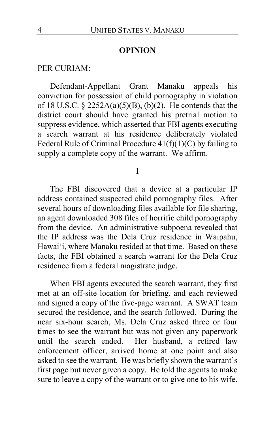## **OPINION**

### PER CURIAM:

Defendant-Appellant Grant Manaku appeals his conviction for possession of child pornography in violation of 18 U.S.C.  $\S$  2252A(a)(5)(B), (b)(2). He contends that the district court should have granted his pretrial motion to suppress evidence, which asserted that FBI agents executing a search warrant at his residence deliberately violated Federal Rule of Criminal Procedure 41(f)(1)(C) by failing to supply a complete copy of the warrant. We affirm.

#### I

The FBI discovered that a device at a particular IP address contained suspected child pornography files. After several hours of downloading files available for file sharing, an agent downloaded 308 files of horrific child pornography from the device. An administrative subpoena revealed that the IP address was the Dela Cruz residence in Waipahu, Hawai'i, where Manaku resided at that time. Based on these facts, the FBI obtained a search warrant for the Dela Cruz residence from a federal magistrate judge.

When FBI agents executed the search warrant, they first met at an off-site location for briefing, and each reviewed and signed a copy of the five-page warrant. A SWAT team secured the residence, and the search followed. During the near six-hour search, Ms. Dela Cruz asked three or four times to see the warrant but was not given any paperwork<br>until the search ended. Her husband, a retired law Her husband, a retired law enforcement officer, arrived home at one point and also asked to see the warrant. He was briefly shown the warrant's first page but never given a copy. He told the agents to make sure to leave a copy of the warrant or to give one to his wife.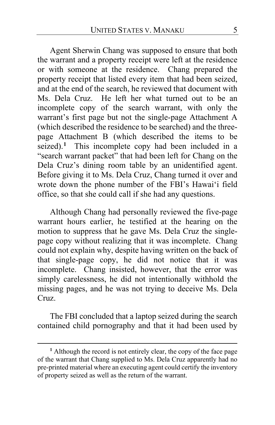Agent Sherwin Chang was supposed to ensure that both the warrant and a property receipt were left at the residence or with someone at the residence. Chang prepared the property receipt that listed every item that had been seized, and at the end of the search, he reviewed that document with Ms. Dela Cruz. He left her what turned out to be an incomplete copy of the search warrant, with only the warrant's first page but not the single-page Attachment A (which described the residence to be searched) and the threepage Attachment B (which described the items to be seized).**[1](#page-4-0)** This incomplete copy had been included in a "search warrant packet" that had been left for Chang on the Dela Cruz's dining room table by an unidentified agent. Before giving it to Ms. Dela Cruz, Chang turned it over and wrote down the phone number of the FBI's Hawai'i field office, so that she could call if she had any questions.

Although Chang had personally reviewed the five-page warrant hours earlier, he testified at the hearing on the motion to suppress that he gave Ms. Dela Cruz the singlepage copy without realizing that it was incomplete. Chang could not explain why, despite having written on the back of that single-page copy, he did not notice that it was incomplete. Chang insisted, however, that the error was simply carelessness, he did not intentionally withhold the missing pages, and he was not trying to deceive Ms. Dela Cruz.

The FBI concluded that a laptop seized during the search contained child pornography and that it had been used by

<span id="page-4-0"></span>**<sup>1</sup>** Although the record is not entirely clear, the copy of the face page of the warrant that Chang supplied to Ms. Dela Cruz apparently had no pre-printed material where an executing agent could certify the inventory of property seized as well as the return of the warrant.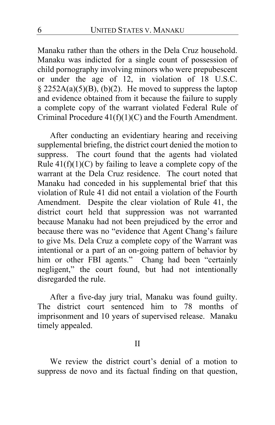Manaku rather than the others in the Dela Cruz household. Manaku was indicted for a single count of possession of child pornography involving minors who were prepubescent or under the age of 12, in violation of 18 U.S.C.  $\S$  2252A(a)(5)(B), (b)(2). He moved to suppress the laptop and evidence obtained from it because the failure to supply a complete copy of the warrant violated Federal Rule of Criminal Procedure 41(f)(1)(C) and the Fourth Amendment.

After conducting an evidentiary hearing and receiving supplemental briefing, the district court denied the motion to suppress. The court found that the agents had violated Rule  $41(f)(1)(C)$  by failing to leave a complete copy of the warrant at the Dela Cruz residence. The court noted that Manaku had conceded in his supplemental brief that this violation of Rule 41 did not entail a violation of the Fourth Amendment. Despite the clear violation of Rule 41, the district court held that suppression was not warranted because Manaku had not been prejudiced by the error and because there was no "evidence that Agent Chang's failure to give Ms. Dela Cruz a complete copy of the Warrant was intentional or a part of an on-going pattern of behavior by him or other FBI agents." Chang had been "certainly negligent," the court found, but had not intentionally disregarded the rule.

After a five-day jury trial, Manaku was found guilty. The district court sentenced him to 78 months of imprisonment and 10 years of supervised release. Manaku timely appealed.

### II

We review the district court's denial of a motion to suppress de novo and its factual finding on that question,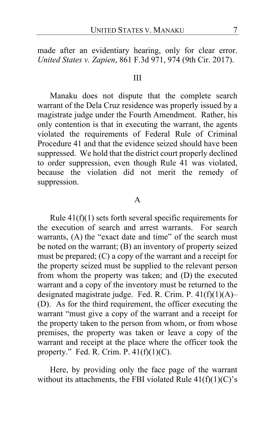made after an evidentiary hearing, only for clear error. *United States v. Zapien*, 861 F.3d 971, 974 (9th Cir. 2017).

#### III

Manaku does not dispute that the complete search warrant of the Dela Cruz residence was properly issued by a magistrate judge under the Fourth Amendment. Rather, his only contention is that in executing the warrant, the agents violated the requirements of Federal Rule of Criminal Procedure 41 and that the evidence seized should have been suppressed. We hold that the district court properly declined to order suppression, even though Rule 41 was violated, because the violation did not merit the remedy of suppression.

#### A

Rule 41(f)(1) sets forth several specific requirements for the execution of search and arrest warrants. For search warrants, (A) the "exact date and time" of the search must be noted on the warrant; (B) an inventory of property seized must be prepared; (C) a copy of the warrant and a receipt for the property seized must be supplied to the relevant person from whom the property was taken; and (D) the executed warrant and a copy of the inventory must be returned to the designated magistrate judge. Fed. R. Crim. P. 41(f)(1)(A)– (D). As for the third requirement, the officer executing the warrant "must give a copy of the warrant and a receipt for the property taken to the person from whom, or from whose premises, the property was taken or leave a copy of the warrant and receipt at the place where the officer took the property." Fed. R. Crim. P.  $41(f)(1)(C)$ .

Here, by providing only the face page of the warrant without its attachments, the FBI violated Rule  $41(f)(1)(C)$ 's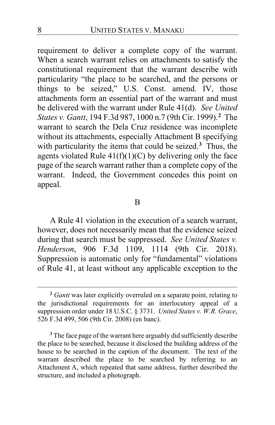requirement to deliver a complete copy of the warrant. When a search warrant relies on attachments to satisfy the constitutional requirement that the warrant describe with particularity "the place to be searched, and the persons or things to be seized," U.S. Const. amend. IV, those attachments form an essential part of the warrant and must be delivered with the warrant under Rule 41(d). *See United States v. Gantt*, 194 F.3d 987, 1000 n.7 (9th Cir. 1999).**[2](#page-7-0)** The warrant to search the Dela Cruz residence was incomplete without its attachments, especially Attachment B specifying with particularity the items that could be seized.**[3](#page-7-1)** Thus, the agents violated Rule  $41(f)(1)(C)$  by delivering only the face page of the search warrant rather than a complete copy of the warrant. Indeed, the Government concedes this point on appeal.

#### B

A Rule 41 violation in the execution of a search warrant, however, does not necessarily mean that the evidence seized during that search must be suppressed. *See United States v. Henderson*, 906 F.3d 1109, 1114 (9th Cir. 2018). Suppression is automatic only for "fundamental" violations of Rule 41, at least without any applicable exception to the

<span id="page-7-0"></span>**<sup>2</sup>** *Gantt* was later explicitly overruled on a separate point, relating to the jurisdictional requirements for an interlocutory appeal of a suppression order under 18 U.S.C. § 3731. *United States v. W.R. Grace*, 526 F.3d 499, 506 (9th Cir. 2008) (en banc).

<span id="page-7-1"></span>**<sup>3</sup>** The face page of the warrant here arguably did sufficiently describe the place to be searched, because it disclosed the building address of the house to be searched in the caption of the document. The text of the warrant described the place to be searched by referring to an Attachment A, which repeated that same address, further described the structure, and included a photograph.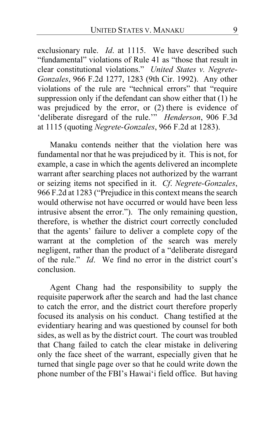exclusionary rule. *Id*. at 1115. We have described such "fundamental" violations of Rule 41 as "those that result in clear constitutional violations." *United States v. Negrete-Gonzales*, 966 F.2d 1277, 1283 (9th Cir. 1992). Any other violations of the rule are "technical errors" that "require suppression only if the defendant can show either that (1) he was prejudiced by the error, or (2) there is evidence of 'deliberate disregard of the rule.'" *Henderson*, 906 F.3d at 1115 (quoting *Negrete-Gonzales*, 966 F.2d at 1283).

Manaku contends neither that the violation here was fundamental nor that he was prejudiced by it. This is not, for example, a case in which the agents delivered an incomplete warrant after searching places not authorized by the warrant or seizing items not specified in it. *Cf*. *Negrete-Gonzales*, 966 F.2d at 1283 ("Prejudice in this context means the search would otherwise not have occurred or would have been less intrusive absent the error."). The only remaining question, therefore, is whether the district court correctly concluded that the agents' failure to deliver a complete copy of the warrant at the completion of the search was merely negligent, rather than the product of a "deliberate disregard of the rule." *Id*. We find no error in the district court's conclusion.

Agent Chang had the responsibility to supply the requisite paperwork after the search and had the last chance to catch the error, and the district court therefore properly focused its analysis on his conduct. Chang testified at the evidentiary hearing and was questioned by counsel for both sides, as well as by the district court. The court was troubled that Chang failed to catch the clear mistake in delivering only the face sheet of the warrant, especially given that he turned that single page over so that he could write down the phone number of the FBI's Hawai'i field office. But having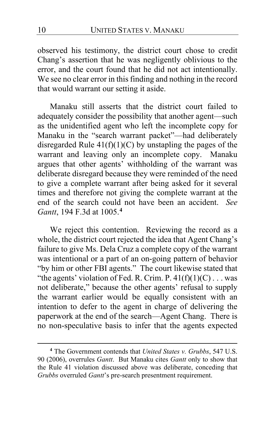observed his testimony, the district court chose to credit Chang's assertion that he was negligently oblivious to the error, and the court found that he did not act intentionally. We see no clear error in this finding and nothing in the record that would warrant our setting it aside.

Manaku still asserts that the district court failed to adequately consider the possibility that another agent—such as the unidentified agent who left the incomplete copy for Manaku in the "search warrant packet"—had deliberately disregarded Rule  $41(f)(1)(C)$  by unstapling the pages of the warrant and leaving only an incomplete copy. Manaku argues that other agents' withholding of the warrant was deliberate disregard because they were reminded of the need to give a complete warrant after being asked for it several times and therefore not giving the complete warrant at the end of the search could not have been an accident. *See Gantt*, 194 F.3d at 1005.**[4](#page-9-0)**

We reject this contention. Reviewing the record as a whole, the district court rejected the idea that Agent Chang's failure to give Ms. Dela Cruz a complete copy of the warrant was intentional or a part of an on-going pattern of behavior "by him or other FBI agents." The court likewise stated that "the agents' violation of Fed. R. Crim. P.  $41(f)(1)(C) \dots$  was not deliberate," because the other agents' refusal to supply the warrant earlier would be equally consistent with an intention to defer to the agent in charge of delivering the paperwork at the end of the search—Agent Chang. There is no non-speculative basis to infer that the agents expected

<span id="page-9-1"></span><span id="page-9-0"></span>**<sup>4</sup>** The Government contends that *United States v. Grubbs*, 547 U.S. 90 (2006), overrules *Gantt*. But Manaku cites *Gantt* only to show that the Rule 41 violation discussed above was deliberate, conceding that *Grubbs* overruled *Gantt*'s pre-search presentment requirement.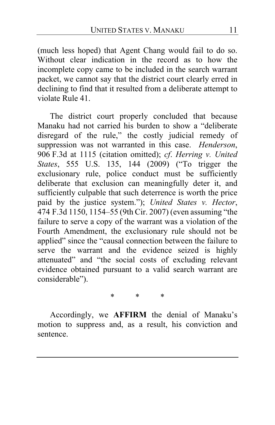(much less hoped) that Agent Chang would fail to do so. Without clear indication in the record as to how the incomplete copy came to be included in the search warrant packet, we cannot say that the district court clearly erred in declining to find that it resulted from a deliberate attempt to violate Rule 41.

The district court properly concluded that because Manaku had not carried his burden to show a "deliberate disregard of the rule," the costly judicial remedy of suppression was not warranted in this case. *Henderson*, 906 F.3d at 1115 (citation omitted); *cf*. *Herring v. United States*, 555 U.S. 135, 144 (2009) ("To trigger the exclusionary rule, police conduct must be sufficiently deliberate that exclusion can meaningfully deter it, and sufficiently culpable that such deterrence is worth the price paid by the justice system."); *United States v. Hector*, 474 F.3d 1150, 1154–55 (9th Cir. 2007) (even assuming "the failure to serve a copy of the warrant was a violation of the Fourth Amendment, the exclusionary rule should not be applied" since the "causal connection between the failure to serve the warrant and the evidence seized is highly attenuated" and "the social costs of excluding relevant evidence obtained pursuant to a valid search warrant are considerable").

\* \* \*

Accordingly, we **AFFIRM** the denial of Manaku's motion to suppress and, as a result, his conviction and sentence.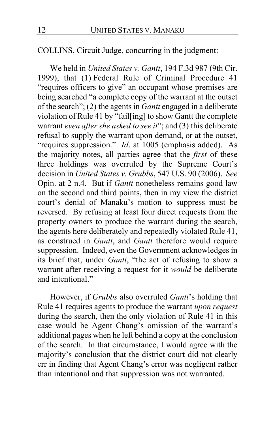COLLINS, Circuit Judge, concurring in the judgment:

We held in *United States v. Gantt*, 194 F.3d 987 (9th Cir. 1999), that (1) Federal Rule of Criminal Procedure 41 "requires officers to give" an occupant whose premises are being searched "a complete copy of the warrant at the outset of the search"; (2) the agents in *Gantt* engaged in a deliberate violation of Rule 41 by "fail[ing] to show Gantt the complete warrant *even after she asked to see it*"; and (3) this deliberate refusal to supply the warrant upon demand, or at the outset, "requires suppression." *Id*. at 1005 (emphasis added). As the majority notes, all parties agree that the *first* of these three holdings was overruled by the Supreme Court's decision in *United States v. Grubbs*, 547 U.S. 90 (2006). *See* Opin. at [2](#page-9-1) n.4. But if *Gantt* nonetheless remains good law on the second and third points, then in my view the district court's denial of Manaku's motion to suppress must be reversed. By refusing at least four direct requests from the property owners to produce the warrant during the search, the agents here deliberately and repeatedly violated Rule 41, as construed in *Gantt*, and *Gantt* therefore would require suppression. Indeed, even the Government acknowledges in its brief that, under *Gantt*, "the act of refusing to show a warrant after receiving a request for it *would* be deliberate and intentional"

However, if *Grubbs* also overruled *Gantt*'s holding that Rule 41 requires agents to produce the warrant *upon request* during the search, then the only violation of Rule 41 in this case would be Agent Chang's omission of the warrant's additional pages when he left behind a copy at the conclusion of the search. In that circumstance, I would agree with the majority's conclusion that the district court did not clearly err in finding that Agent Chang's error was negligent rather than intentional and that suppression was not warranted.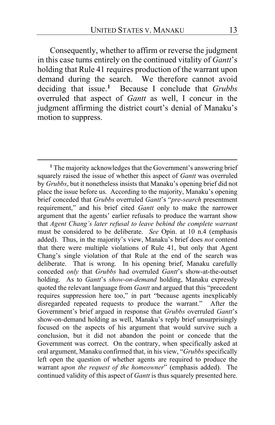Consequently, whether to affirm or reverse the judgment in this case turns entirely on the continued vitality of *Gantt*'s holding that Rule 41 requires production of the warrant upon demand during the search. We therefore cannot avoid deciding that issue.**[1](#page-12-0)** Because I conclude that *Grubbs* overruled that aspect of *Gantt* as well, I concur in the judgment affirming the district court's denial of Manaku's motion to suppress.

<span id="page-12-0"></span>**<sup>1</sup>** The majority acknowledges that the Government's answering brief squarely raised the issue of whether this aspect of *Gantt* was overruled by *Grubbs*, but it nonetheless insists that Manaku's opening brief did not place the issue before us. According to the majority, Manaku's opening brief conceded that *Grubbs* overruled *Gantt*'s "*pre-search* presentment requirement," and his brief cited *Gantt* only to make the narrower argument that the agents' earlier refusals to produce the warrant show that *Agent Chang's later refusal to leave behind the complete warrant*  must be considered to be deliberate. *See* Opin. at [10](#page-9-1) n.4 (emphasis added). Thus, in the majority's view, Manaku's brief does *not* contend that there were multiple violations of Rule 41, but only that Agent Chang's single violation of that Rule at the end of the search was deliberate. That is wrong. In his opening brief, Manaku carefully conceded *only* that *Grubbs* had overruled *Gantt*'s show-at-the-outset holding. As to *Gantt*'s *show-on-demand* holding, Manaku expressly quoted the relevant language from *Gantt* and argued that this "precedent requires suppression here too," in part "because agents inexplicably disregarded repeated requests to produce the warrant." After the Government's brief argued in response that *Grubbs* overruled *Gantt*'s show-on-demand holding as well, Manaku's reply brief unsurprisingly focused on the aspects of his argument that would survive such a conclusion, but it did not abandon the point or concede that the Government was correct. On the contrary, when specifically asked at oral argument, Manaku confirmed that, in his view, "*Grubbs* specifically left open the question of whether agents are required to produce the warrant *upon the request of the homeowner*" (emphasis added). The continued validity of this aspect of *Gantt* is thus squarely presented here.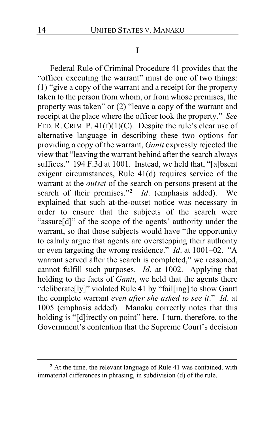#### **I**

Federal Rule of Criminal Procedure 41 provides that the "officer executing the warrant" must do one of two things: (1) "give a copy of the warrant and a receipt for the property taken to the person from whom, or from whose premises, the property was taken" or (2) "leave a copy of the warrant and receipt at the place where the officer took the property." *See* FED. R. CRIM. P.  $41(f)(1)(C)$ . Despite the rule's clear use of alternative language in describing these two options for providing a copy of the warrant, *Gantt* expressly rejected the view that "leaving the warrant behind after the search always suffices." 194 F.3d at 1001. Instead, we held that, "[a]bsent exigent circumstances, Rule 41(d) requires service of the warrant at the *outset* of the search on persons present at the search of their premises."**[2](#page-13-0)** *Id*. (emphasis added). We explained that such at-the-outset notice was necessary in order to ensure that the subjects of the search were "assure[d]" of the scope of the agents' authority under the warrant, so that those subjects would have "the opportunity to calmly argue that agents are overstepping their authority or even targeting the wrong residence." *Id*. at 1001–02. "A warrant served after the search is completed," we reasoned, cannot fulfill such purposes. *Id*. at 1002. Applying that holding to the facts of *Gantt*, we held that the agents there "deliberate[ly]" violated Rule 41 by "fail[ing] to show Gantt the complete warrant *even after she asked to see it*." *Id*. at 1005 (emphasis added). Manaku correctly notes that this holding is "[d]irectly on point" here. I turn, therefore, to the Government's contention that the Supreme Court's decision

<span id="page-13-0"></span>**<sup>2</sup>** At the time, the relevant language of Rule 41 was contained, with immaterial differences in phrasing, in subdivision (d) of the rule.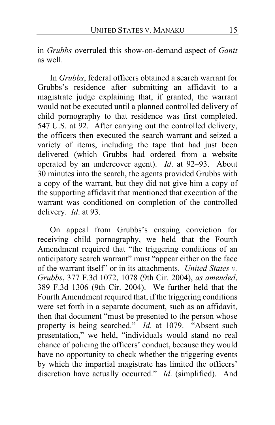in *Grubbs* overruled this show-on-demand aspect of *Gantt* as well.

In *Grubbs*, federal officers obtained a search warrant for Grubbs's residence after submitting an affidavit to a magistrate judge explaining that, if granted, the warrant would not be executed until a planned controlled delivery of child pornography to that residence was first completed. 547 U.S. at 92. After carrying out the controlled delivery, the officers then executed the search warrant and seized a variety of items, including the tape that had just been delivered (which Grubbs had ordered from a website operated by an undercover agent). *Id*. at 92–93. About 30 minutes into the search, the agents provided Grubbs with a copy of the warrant, but they did not give him a copy of the supporting affidavit that mentioned that execution of the warrant was conditioned on completion of the controlled delivery. *Id*. at 93.

On appeal from Grubbs's ensuing conviction for receiving child pornography, we held that the Fourth Amendment required that "the triggering conditions of an anticipatory search warrant" must "appear either on the face of the warrant itself" or in its attachments. *United States v. Grubbs*, 377 F.3d 1072, 1078 (9th Cir. 2004), *as amended*, 389 F.3d 1306 (9th Cir. 2004). We further held that the Fourth Amendment required that, if the triggering conditions were set forth in a separate document, such as an affidavit, then that document "must be presented to the person whose property is being searched." *Id*. at 1079. "Absent such presentation," we held, "individuals would stand no real chance of policing the officers' conduct, because they would have no opportunity to check whether the triggering events by which the impartial magistrate has limited the officers' discretion have actually occurred." *Id*. (simplified). And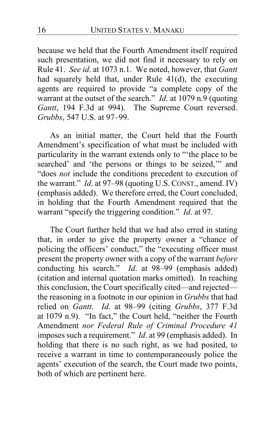because we held that the Fourth Amendment itself required such presentation, we did not find it necessary to rely on Rule 41. *See id*. at 1073 n.1. We noted, however, that *Gantt* had squarely held that, under Rule 41(d), the executing agents are required to provide "a complete copy of the warrant at the outset of the search." *Id*. at 1079 n.9 (quoting *Gantt*, 194 F.3d at 994). The Supreme Court reversed. *Grubbs*, 547 U.S. at 97–99.

As an initial matter, the Court held that the Fourth Amendment's specification of what must be included with particularity in the warrant extends only to "'the place to be searched' and 'the persons or things to be seized,'" and "does *not* include the conditions precedent to execution of the warrant." *Id*. at 97–98 (quoting U.S. CONST., amend. IV) (emphasis added). We therefore erred, the Court concluded, in holding that the Fourth Amendment required that the warrant "specify the triggering condition." *Id*. at 97.

The Court further held that we had also erred in stating that, in order to give the property owner a "chance of policing the officers' conduct," the "executing officer must present the property owner with a copy of the warrant *before* conducting his search." *Id*. at 98–99 (emphasis added) (citation and internal quotation marks omitted). In reaching this conclusion, the Court specifically cited—and rejected the reasoning in a footnote in our opinion in *Grubbs* that had relied on *Gantt*. *Id*. at 98–99 (citing *Grubbs*, 377 F.3d at 1079 n.9). "In fact," the Court held, "neither the Fourth Amendment *nor Federal Rule of Criminal Procedure 41* imposes such a requirement." *Id*. at 99 (emphasis added). In holding that there is no such right, as we had posited, to receive a warrant in time to contemporaneously police the agents' execution of the search, the Court made two points, both of which are pertinent here.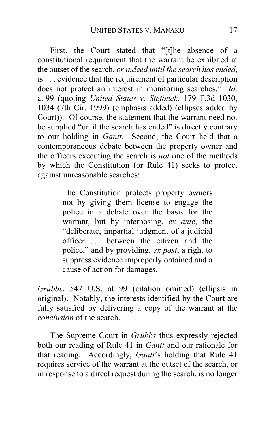First, the Court stated that "[t]he absence of a constitutional requirement that the warrant be exhibited at the outset of the search, *or indeed until the search has ended*, is . . . evidence that the requirement of particular description does not protect an interest in monitoring searches." *Id*. at 99 (quoting *United States v. Stefonek*, 179 F.3d 1030, 1034 (7th Cir. 1999) (emphasis added) (ellipses added by Court)). Of course, the statement that the warrant need not be supplied "until the search has ended" is directly contrary to our holding in *Gantt*. Second, the Court held that a contemporaneous debate between the property owner and the officers executing the search is *not* one of the methods by which the Constitution (or Rule 41) seeks to protect against unreasonable searches:

> The Constitution protects property owners not by giving them license to engage the police in a debate over the basis for the warrant, but by interposing, *ex ante*, the "deliberate, impartial judgment of a judicial officer . . . between the citizen and the police," and by providing, *ex post*, a right to suppress evidence improperly obtained and a cause of action for damages.

*Grubbs*, 547 U.S. at 99 (citation omitted) (ellipsis in original). Notably, the interests identified by the Court are fully satisfied by delivering a copy of the warrant at the *conclusion* of the search.

The Supreme Court in *Grubbs* thus expressly rejected both our reading of Rule 41 in *Gantt* and our rationale for that reading. Accordingly, *Gantt*'s holding that Rule 41 requires service of the warrant at the outset of the search, or in response to a direct request during the search, is no longer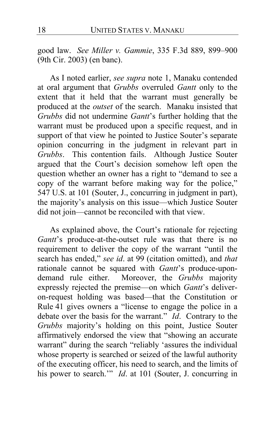good law. *See Miller v. Gammie*, 335 F.3d 889, 899–900 (9th Cir. 2003) (en banc).

As I noted earlier, *see supra* note 1, Manaku contended at oral argument that *Grubbs* overruled *Gantt* only to the extent that it held that the warrant must generally be produced at the *outset* of the search. Manaku insisted that *Grubbs* did not undermine *Gantt*'s further holding that the warrant must be produced upon a specific request, and in support of that view he pointed to Justice Souter's separate opinion concurring in the judgment in relevant part in *Grubbs*. This contention fails. Although Justice Souter argued that the Court's decision somehow left open the question whether an owner has a right to "demand to see a copy of the warrant before making way for the police," 547 U.S. at 101 (Souter, J., concurring in judgment in part), the majority's analysis on this issue—which Justice Souter did not join—cannot be reconciled with that view.

As explained above, the Court's rationale for rejecting *Gantt*'s produce-at-the-outset rule was that there is no requirement to deliver the copy of the warrant "until the search has ended," *see id*. at 99 (citation omitted), and *that* rationale cannot be squared with *Gantt*'s produce-upondemand rule either. Moreover, the *Grubbs* majority expressly rejected the premise—on which *Gantt*'s deliveron-request holding was based—that the Constitution or Rule 41 gives owners a "license to engage the police in a debate over the basis for the warrant." *Id*. Contrary to the *Grubbs* majority's holding on this point, Justice Souter affirmatively endorsed the view that "showing an accurate warrant" during the search "reliably 'assures the individual whose property is searched or seized of the lawful authority of the executing officer, his need to search, and the limits of his power to search.'" *Id*. at 101 (Souter, J. concurring in